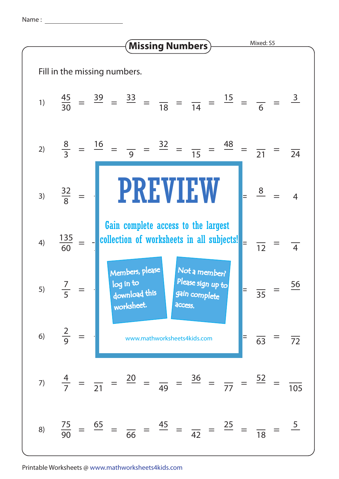Name :